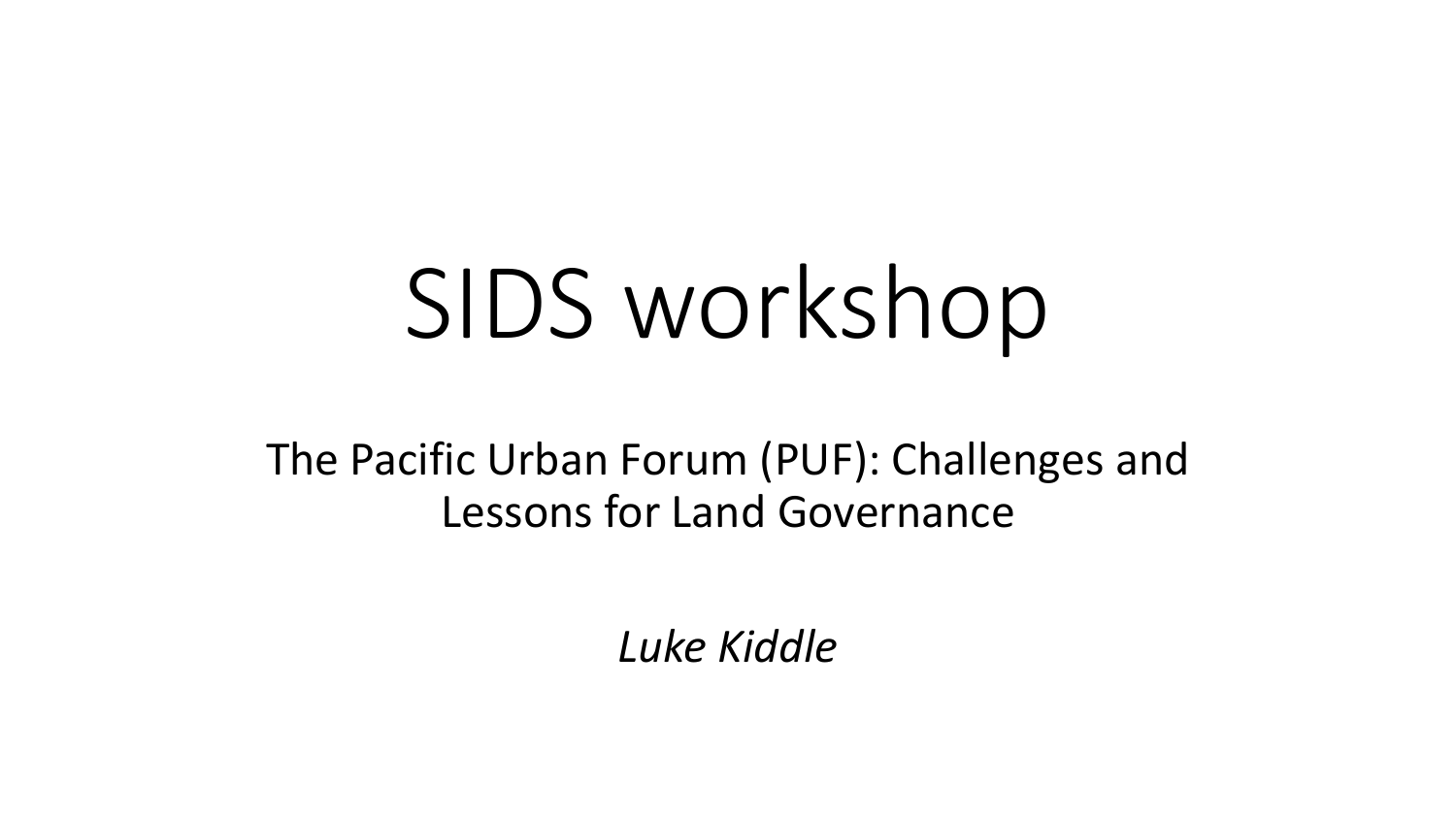# SIDS workshop

The Pacific Urban Forum (PUF): Challenges and Lessons for Land Governance

*Luke Kiddle*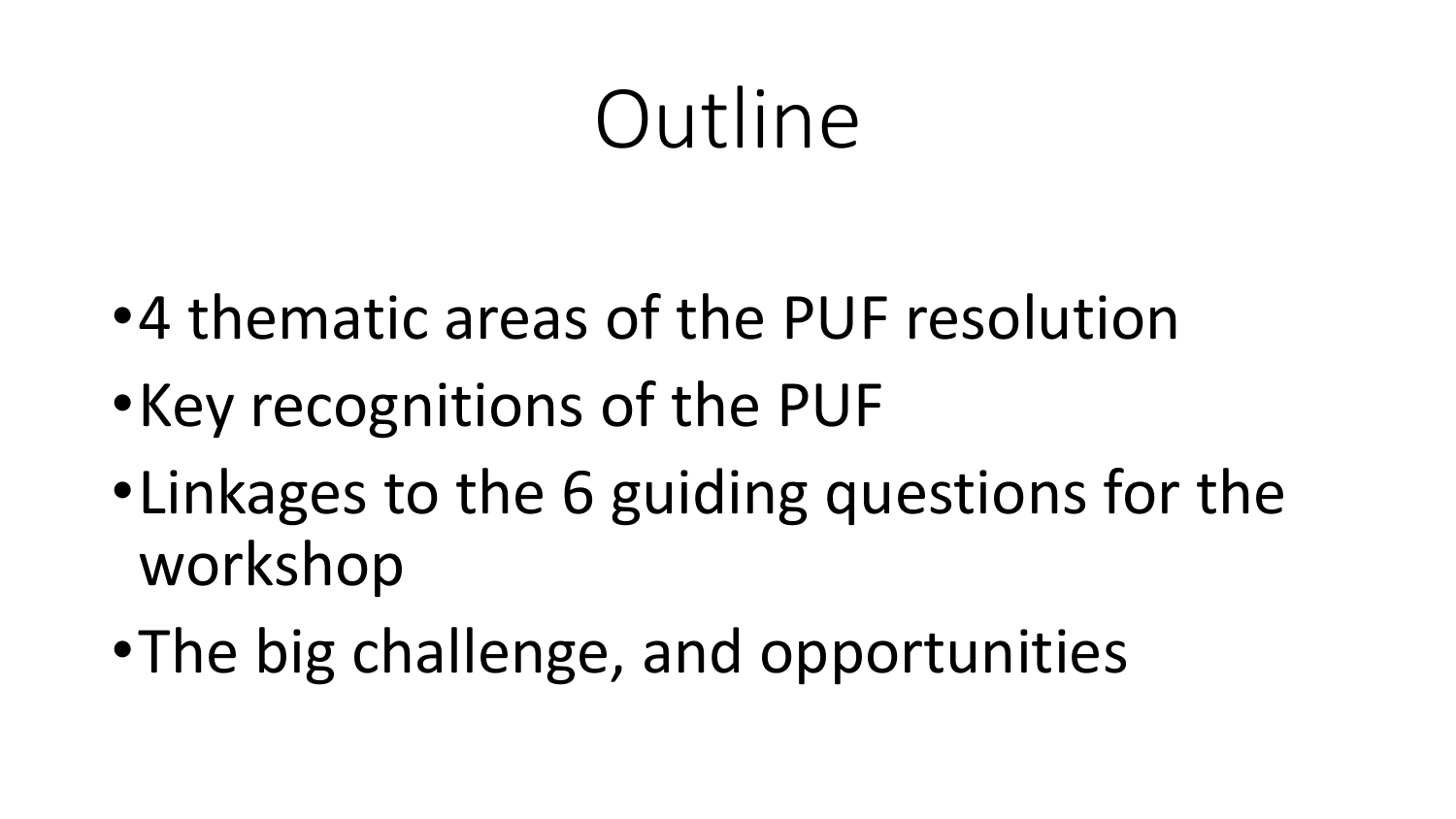# Outline

- •4 thematic areas of the PUF resolution
- •Key recognitions of the PUF
- •Linkages to the 6 guiding questions for the workshop
- •The big challenge, and opportunities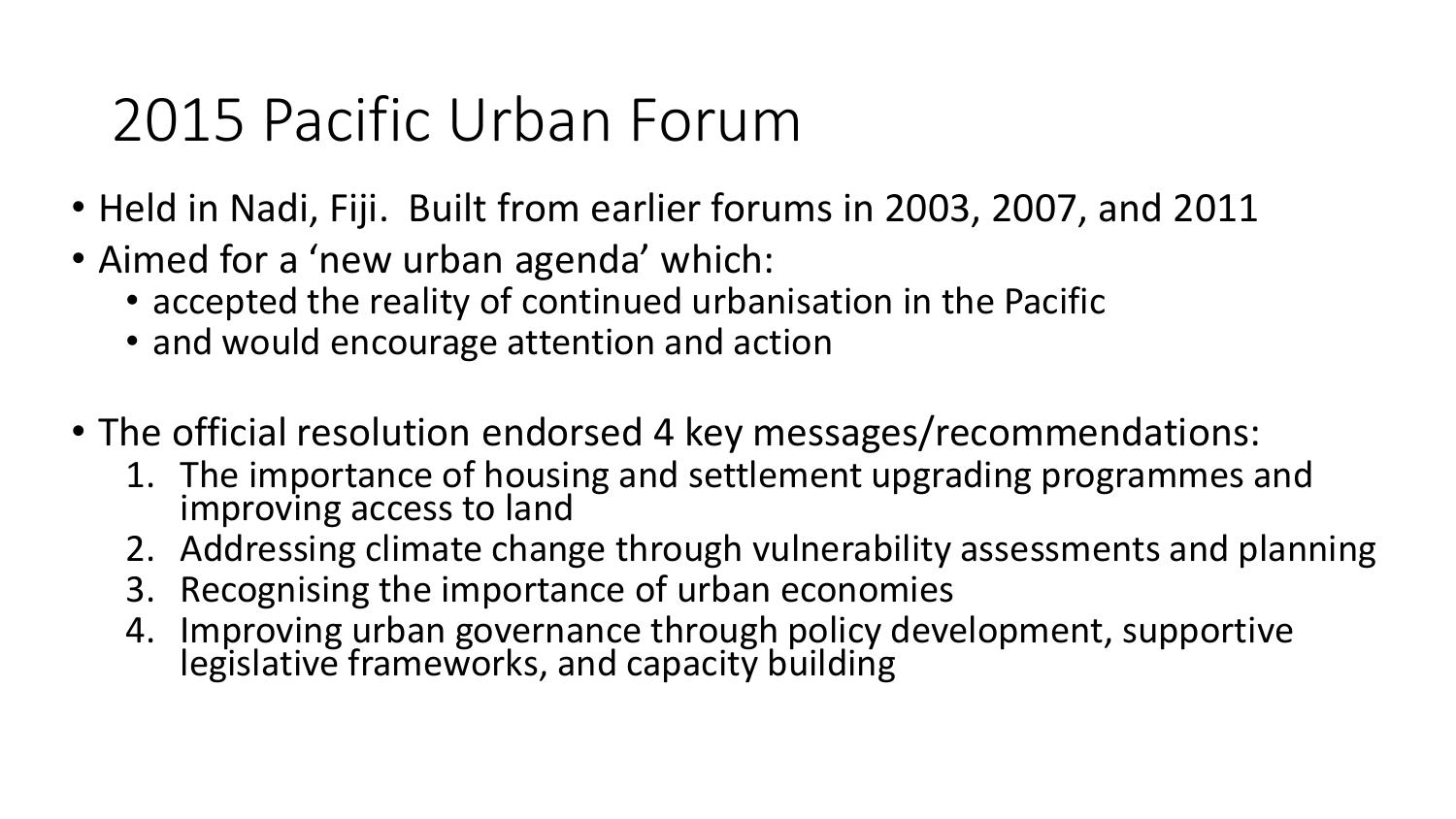#### 2015 Pacific Urban Forum

- Held in Nadi, Fiji. Built from earlier forums in 2003, 2007, and 2011
- Aimed for a 'new urban agenda' which:
	- accepted the reality of continued urbanisation in the Pacific
	- and would encourage attention and action
- The official resolution endorsed 4 key messages/recommendations:
	- 1. The importance of housing and settlement upgrading programmes and improving access to land
	- 2. Addressing climate change through vulnerability assessments and planning
	- 3. Recognising the importance of urban economies
	- 4. Improving urban governance through policy development, supportive legislative frameworks, and capacity building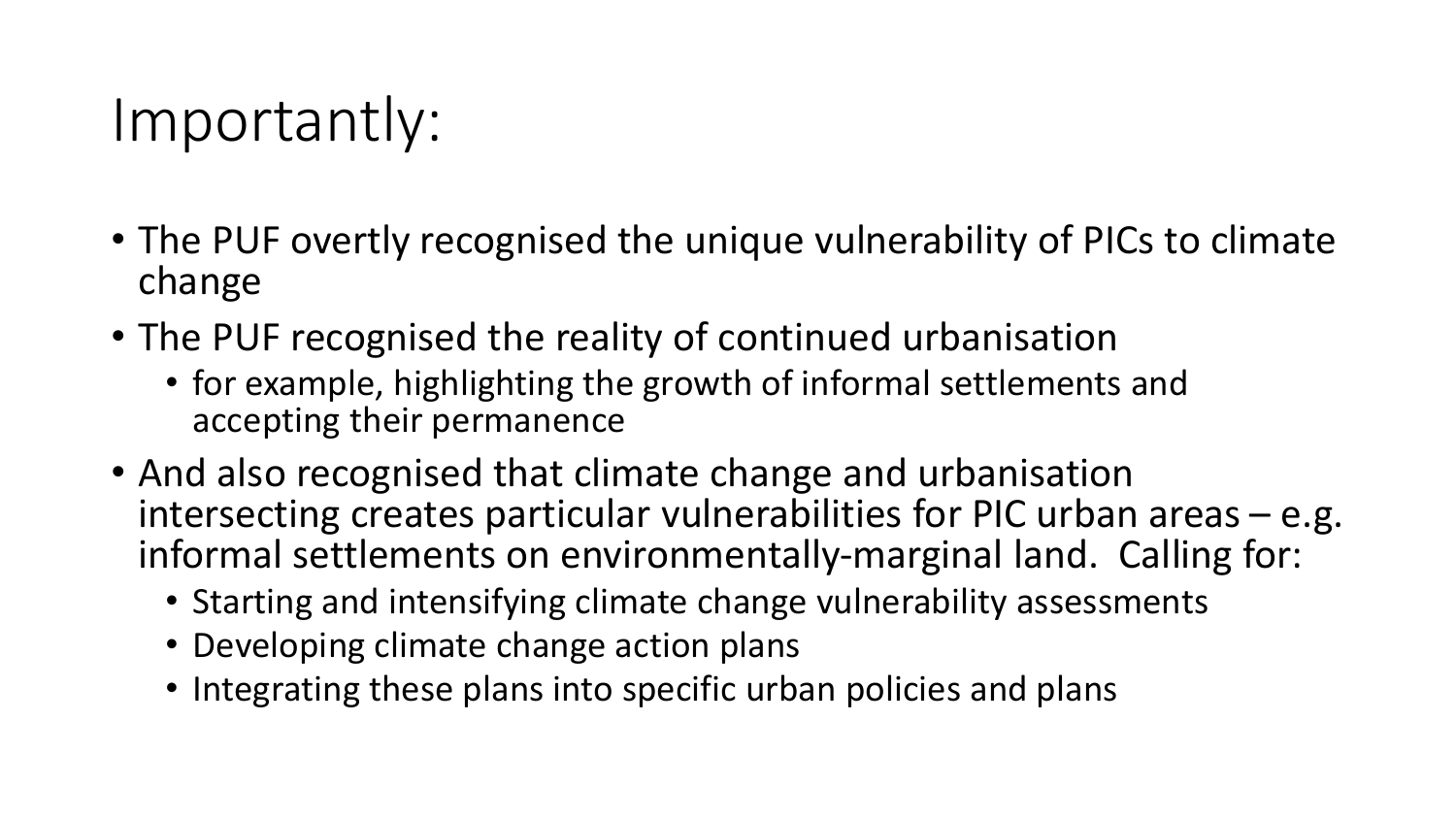#### Importantly:

- The PUF overtly recognised the unique vulnerability of PICs to climate change
- The PUF recognised the reality of continued urbanisation
	- for example, highlighting the growth of informal settlements and accepting their permanence
- And also recognised that climate change and urbanisation intersecting creates particular vulnerabilities for PIC urban areas – e.g. informal settlements on environmentally-marginal land. Calling for:
	- Starting and intensifying climate change vulnerability assessments
	- Developing climate change action plans
	- Integrating these plans into specific urban policies and plans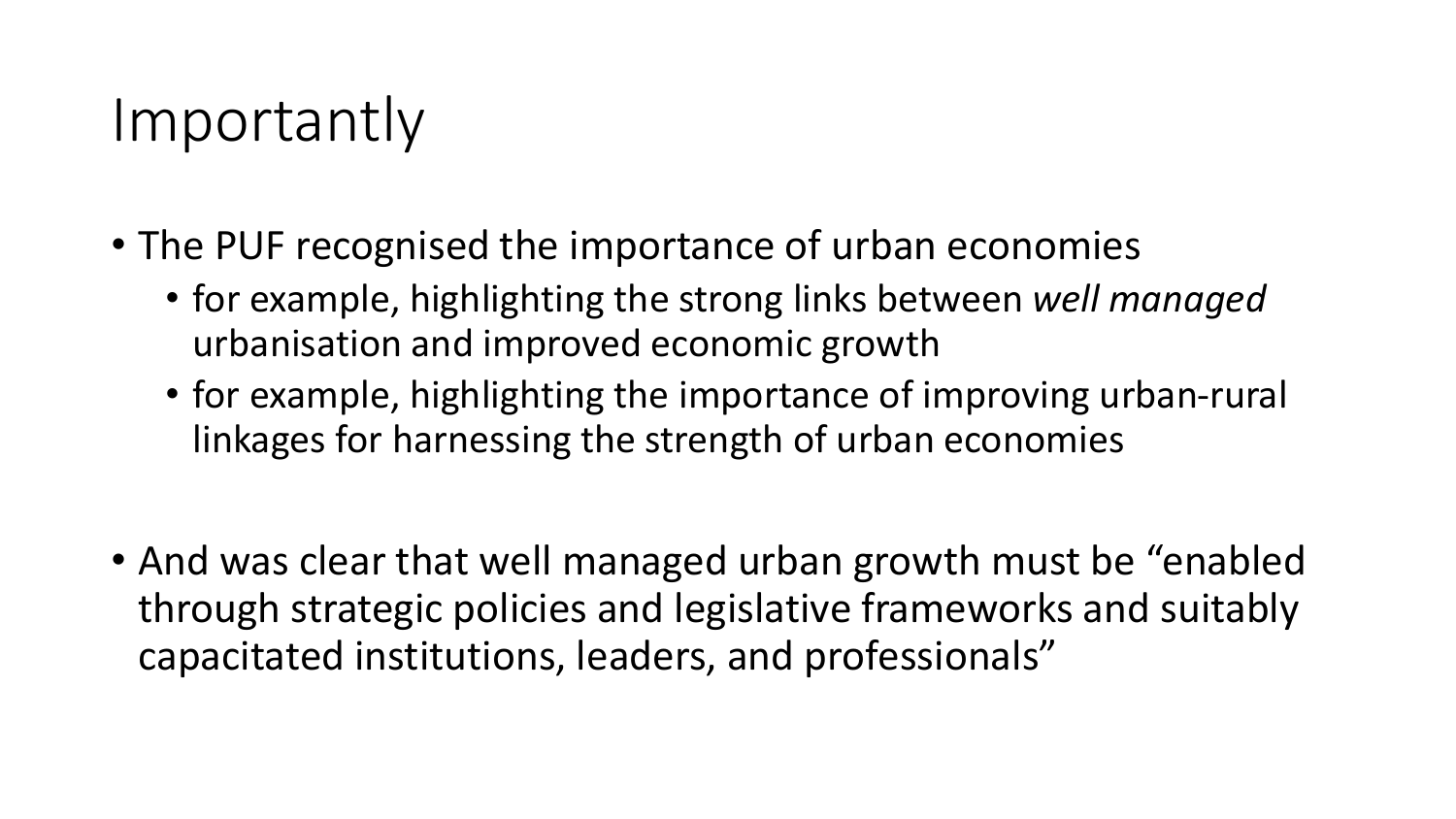#### Importantly

- The PUF recognised the importance of urban economies
	- for example, highlighting the strong links between *well managed*  urbanisation and improved economic growth
	- for example, highlighting the importance of improving urban-rural linkages for harnessing the strength of urban economies
- And was clear that well managed urban growth must be "enabled through strategic policies and legislative frameworks and suitably capacitated institutions, leaders, and professionals"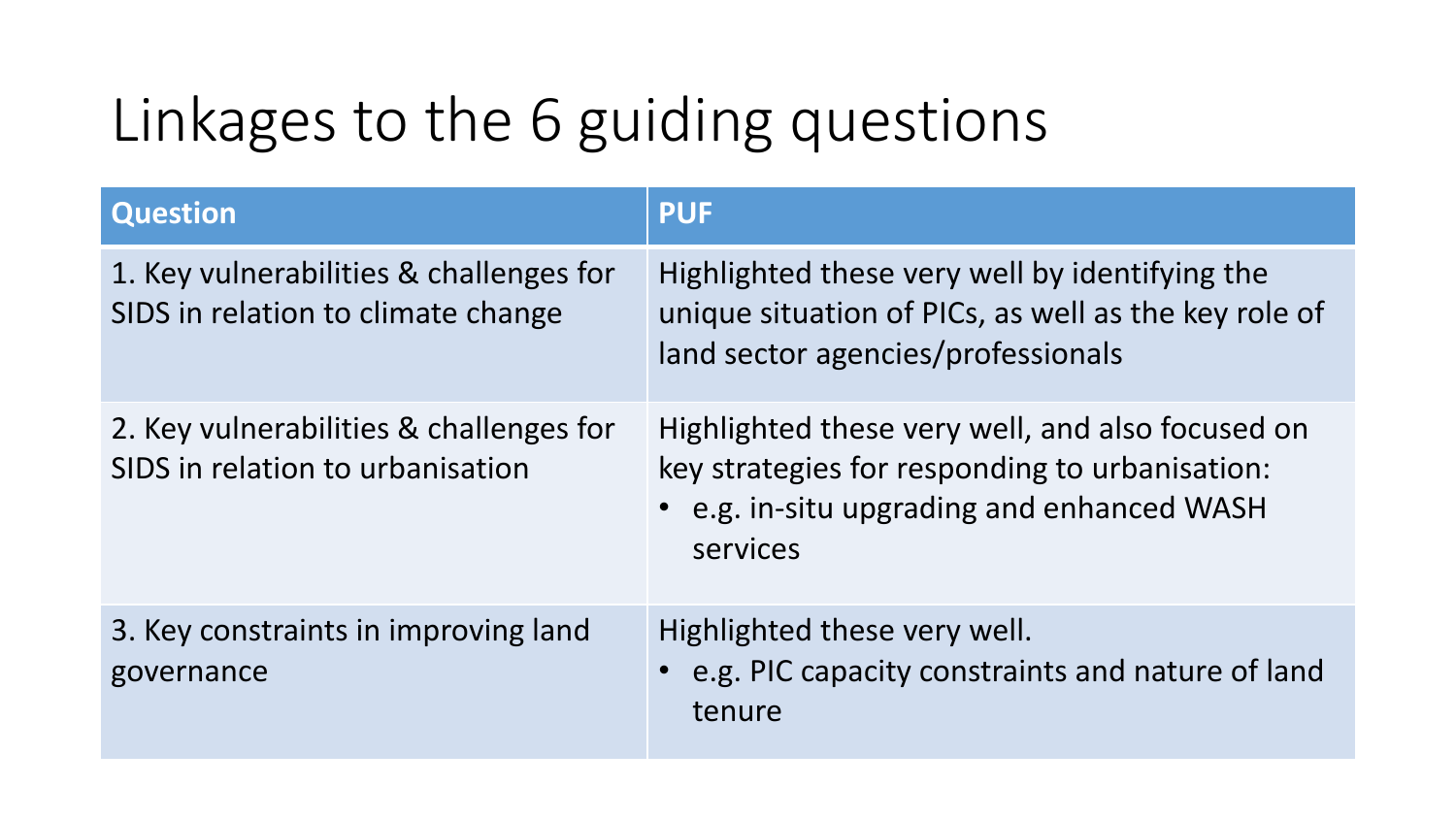## Linkages to the 6 guiding questions

| <b>Question</b>                                                               | <b>PUF</b>                                                                                                                                                   |
|-------------------------------------------------------------------------------|--------------------------------------------------------------------------------------------------------------------------------------------------------------|
| 1. Key vulnerabilities & challenges for<br>SIDS in relation to climate change | Highlighted these very well by identifying the<br>unique situation of PICs, as well as the key role of<br>land sector agencies/professionals                 |
| 2. Key vulnerabilities & challenges for<br>SIDS in relation to urbanisation   | Highlighted these very well, and also focused on<br>key strategies for responding to urbanisation:<br>• e.g. in-situ upgrading and enhanced WASH<br>services |
| 3. Key constraints in improving land<br>governance                            | Highlighted these very well.<br>• e.g. PIC capacity constraints and nature of land<br>tenure                                                                 |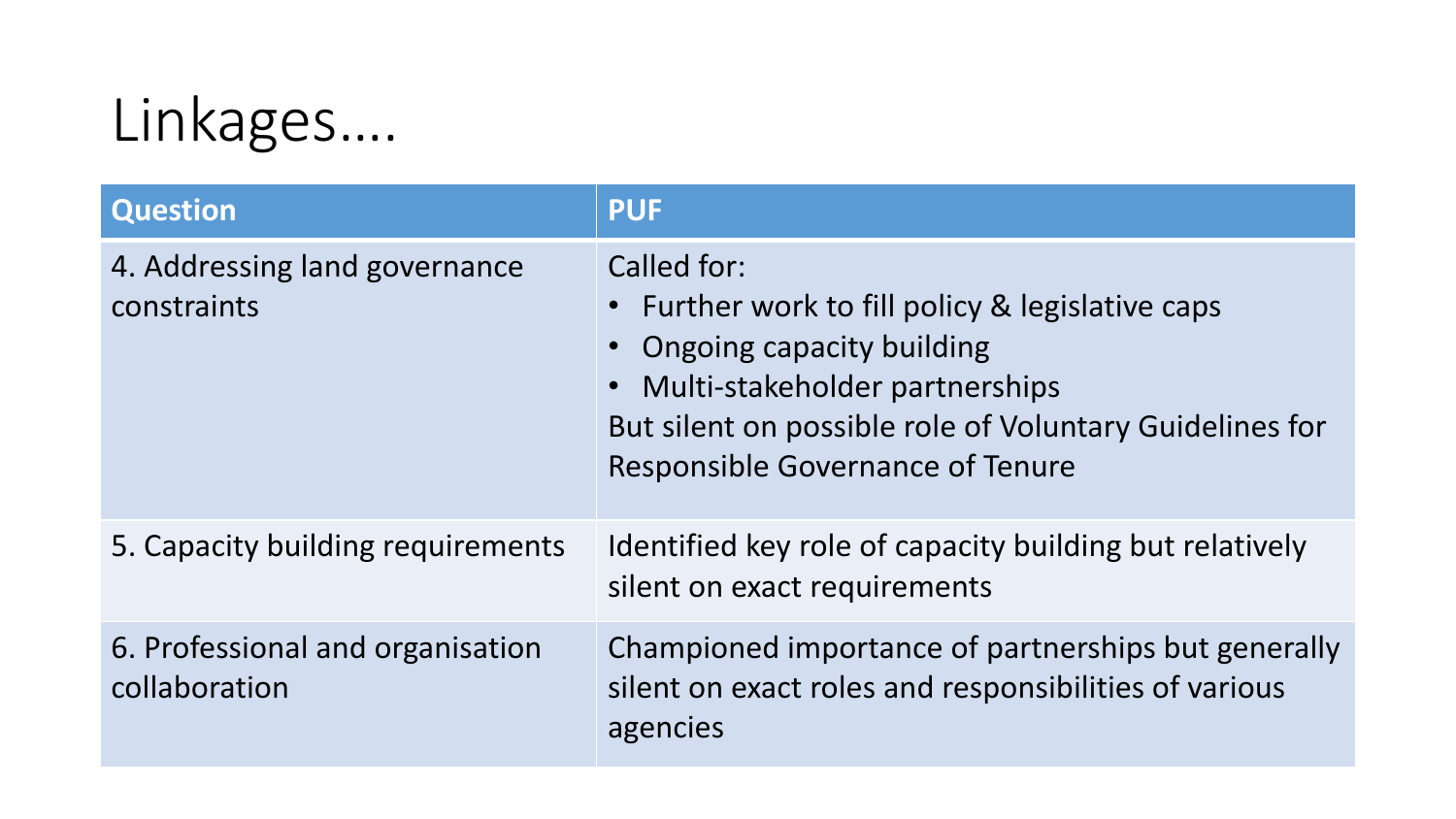## Linkages….

| <b>Question</b>                                   | <b>PUF</b>                                                                                                                                                                                                                                               |
|---------------------------------------------------|----------------------------------------------------------------------------------------------------------------------------------------------------------------------------------------------------------------------------------------------------------|
| 4. Addressing land governance<br>constraints      | Called for:<br>• Further work to fill policy & legislative caps<br><b>Ongoing capacity building</b><br>Multi-stakeholder partnerships<br>$\bullet$<br>But silent on possible role of Voluntary Guidelines for<br><b>Responsible Governance of Tenure</b> |
| 5. Capacity building requirements                 | Identified key role of capacity building but relatively<br>silent on exact requirements                                                                                                                                                                  |
| 6. Professional and organisation<br>collaboration | Championed importance of partnerships but generally<br>silent on exact roles and responsibilities of various<br>agencies                                                                                                                                 |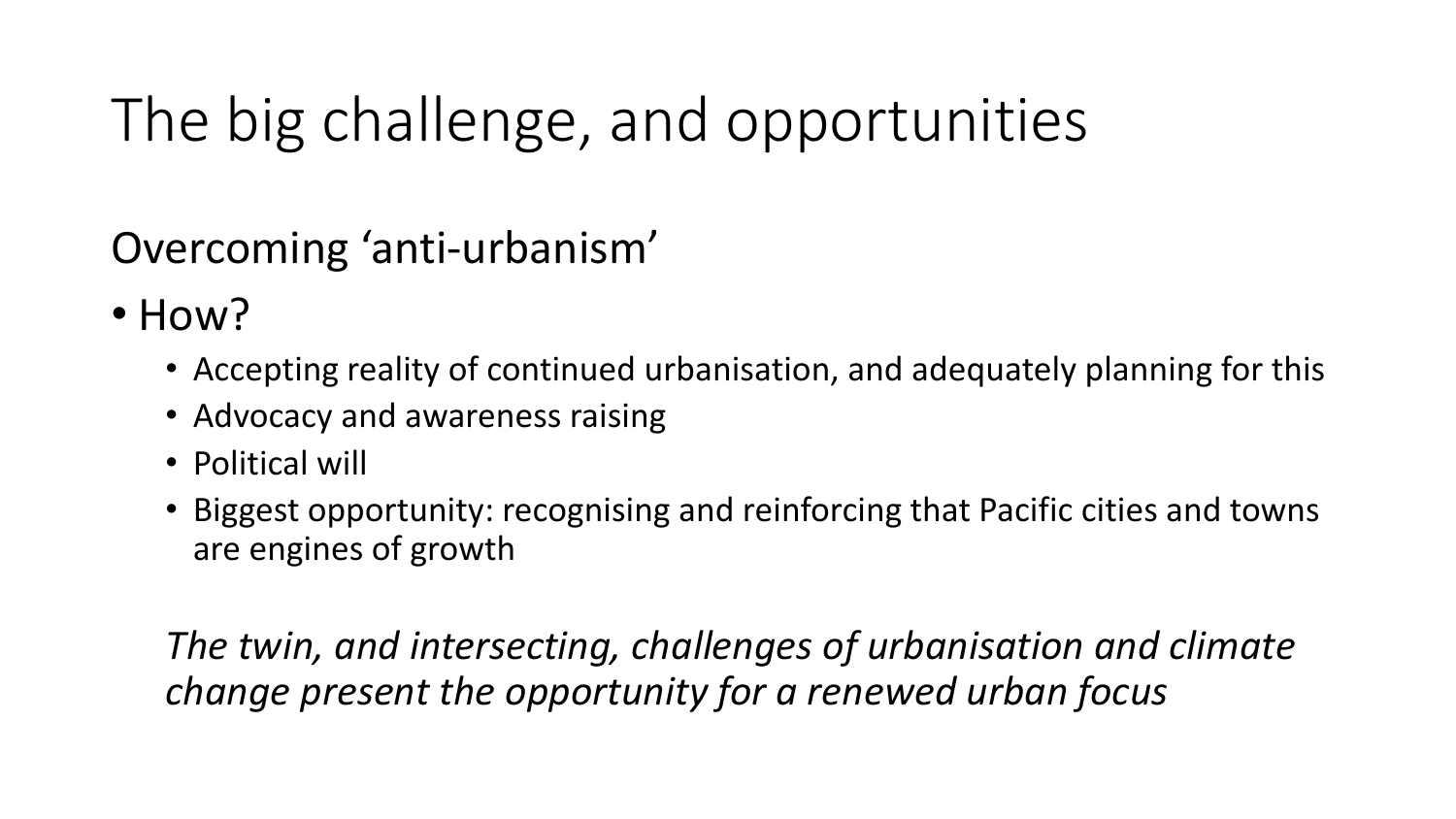# The big challenge, and opportunities

Overcoming 'anti-urbanism'

- How?
	- Accepting reality of continued urbanisation, and adequately planning for this
	- Advocacy and awareness raising
	- Political will
	- Biggest opportunity: recognising and reinforcing that Pacific cities and towns are engines of growth

*The twin, and intersecting, challenges of urbanisation and climate change present the opportunity for a renewed urban focus*